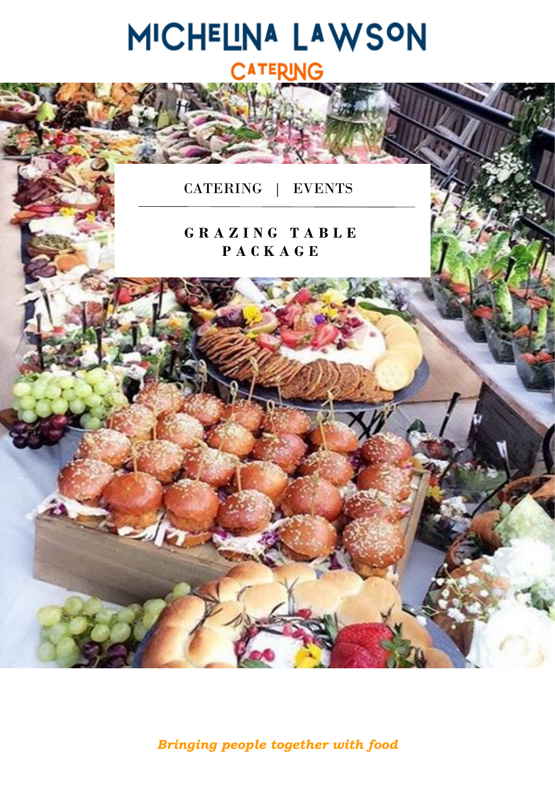

*Bringing people together with food*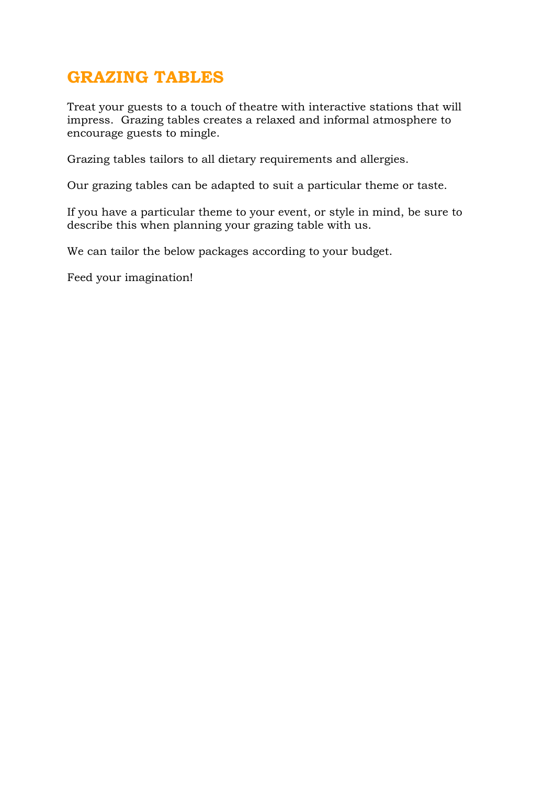## **GRAZING TABLES**

Treat your guests to a touch of theatre with interactive stations that will impress. Grazing tables creates a relaxed and informal atmosphere to encourage guests to mingle.

Grazing tables tailors to all dietary requirements and allergies.

Our grazing tables can be adapted to suit a particular theme or taste.

If you have a particular theme to your event, or style in mind, be sure to describe this when planning your grazing table with us.

We can tailor the below packages according to your budget.

Feed your imagination!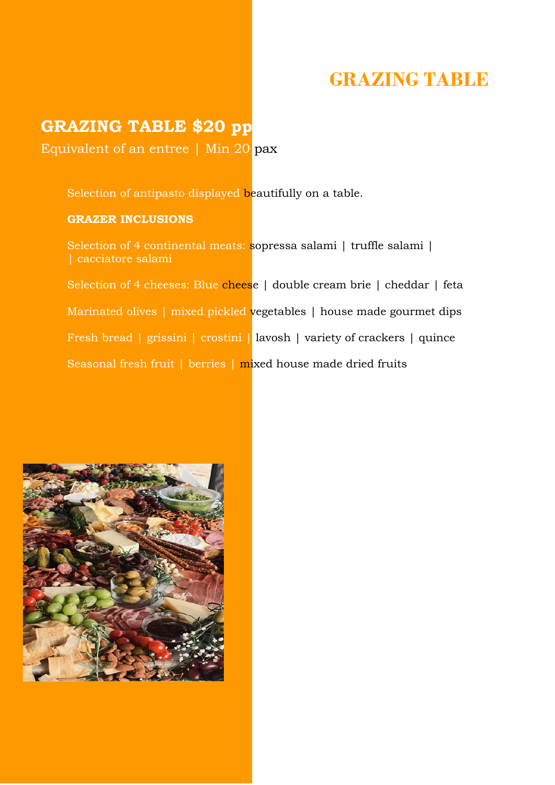## **GRAZING TABLE**

### **GRAZING TABLE \$20 pp**

Equivalent of an entree | Min 20 pax

Selection of antipasto displayed beautifully on a table.

#### **GRAZER INCLUSIONS**

Selection of 4 continental meats: sopressa salami | truffle salami | | cacciatore salami

Selection of 4 cheeses: Blue cheese | double cream brie | cheddar | feta Marinated olives | mixed pickled vegetables | house made gourmet dips Fresh bread | grissini | crostini | lavosh | variety of crackers | quince Seasonal fresh fruit | berries | mixed house made dried fruits

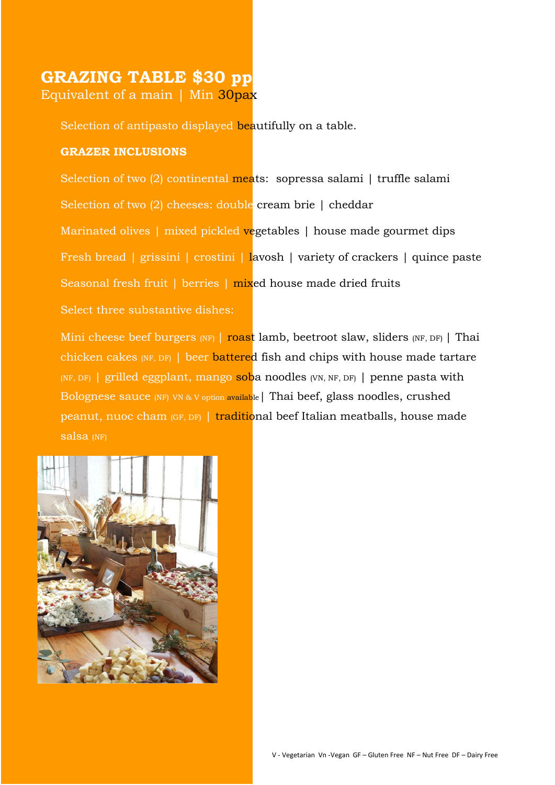## **GRAZING TABLE \$30 pp**

Equivalent of a main | Min 30pax

Selection of antipasto displayed beautifully on a table.

### **GRAZER INCLUSIONS**

Selection of two (2) continental meats: sopressa salami | truffle salami Selection of two (2) cheeses: double cream brie | cheddar Marinated olives | mixed pickled vegetables | house made gourmet dips Fresh bread | grissini | crostini | lavosh | variety of crackers | quince paste Seasonal fresh fruit | berries | mixed house made dried fruits Select three substantive dishes:

Mini cheese beef burgers (NF) | roast lamb, beetroot slaw, sliders (NF, DF) | Thai chicken cakes (NF, DF) | beer battered fish and chips with house made tartare (NF, DF) | grilled eggplant, mango soba noodles (VN, NF, DF) | penne pasta with Bolognese sauce (NF) VN & V option available | Thai beef, glass noodles, crushed peanut, nuoc cham (GF, DF) | traditional beef Italian meatballs, house made salsa (NF)

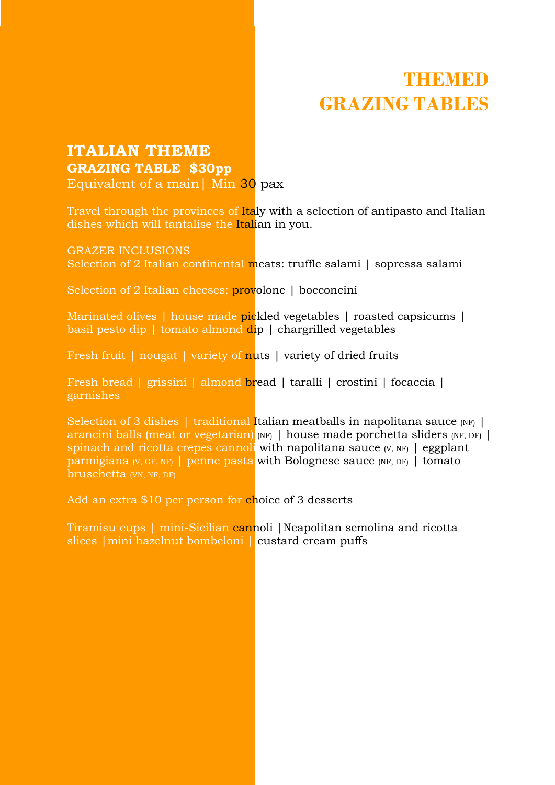## **ITALIAN THEME GRAZING TABLE \$30pp**

Equivalent of a main| Min 30 pax

Travel through the provinces of Italy with a selection of antipasto and Italian dishes which will tantalise the Italian in you.

GRAZER INCLUSIONS

Selection of 2 Italian continental meats: truffle salami | sopressa salami

Selection of 2 Italian cheeses: provolone | bocconcini

Marinated olives | house made pickled vegetables | roasted capsicums | basil pesto dip | tomato almond  $\text{dip}$  | chargrilled vegetables

Fresh fruit | nougat | variety of nuts | variety of dried fruits

Fresh bread | grissini | almond bread | taralli | crostini | focaccia | garnishes

Selection of 3 dishes | traditional Italian meatballs in napolitana sauce (NF) | arancini balls (meat or vegetarian) (NF) | house made porchetta sliders (NF, DF) | spinach and ricotta crepes cannoli with napolitana sauce  $(V, NF)$  | eggplant parmigiana (V, GF, NF) | penne pasta with Bolognese sauce (NF, DF) | tomato bruschetta (VN, NF, DF)

Add an extra \$10 per person for choice of 3 desserts

Tiramisu cups | mini-Sicilian cannoli |Neapolitan semolina and ricotta slices |mini hazelnut bombeloni | custard cream puffs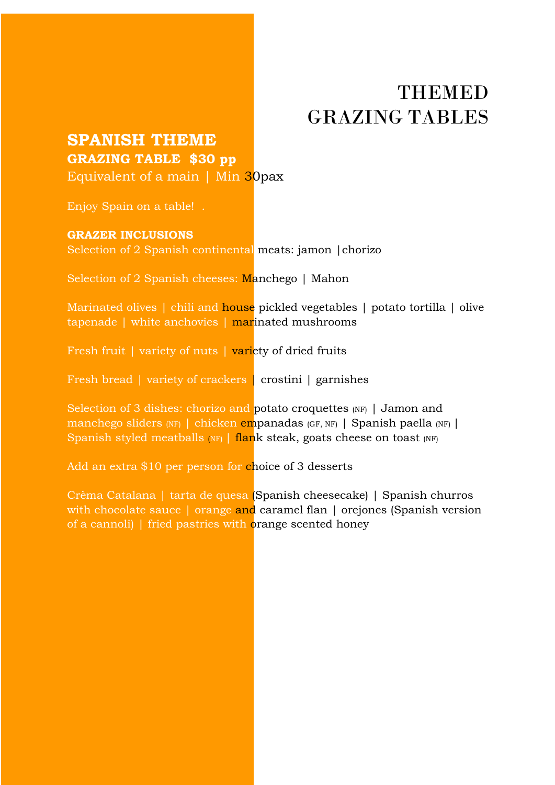### **SPANISH THEME GRAZING TABLE \$30 pp**

Equivalent of a main | Min 30pax

Enjoy Spain on a table! .

#### **GRAZER INCLUSIONS**

Selection of 2 Spanish continental meats: jamon |chorizo

Selection of 2 Spanish cheeses: Manchego | Mahon

Marinated olives | chili and house pickled vegetables | potato tortilla | olive tapenade | white anchovies | marinated mushrooms

Fresh fruit | variety of nuts | variety of dried fruits

Fresh bread | variety of crackers | crostini | garnishes

Selection of 3 dishes: chorizo and potato croquettes (NF) | Jamon and manchego sliders (NF) | chicken empanadas (GF, NF) | Spanish paella (NF) | Spanish styled meatballs  $(NF)$  | flank steak, goats cheese on toast  $(NF)$ 

Add an extra \$10 per person for choice of 3 desserts

Crèma Catalana | tarta de quesa (Spanish cheesecake) | Spanish churros with chocolate sauce | orange and caramel flan | orejones (Spanish version of a cannoli) | fried pastries with orange scented honey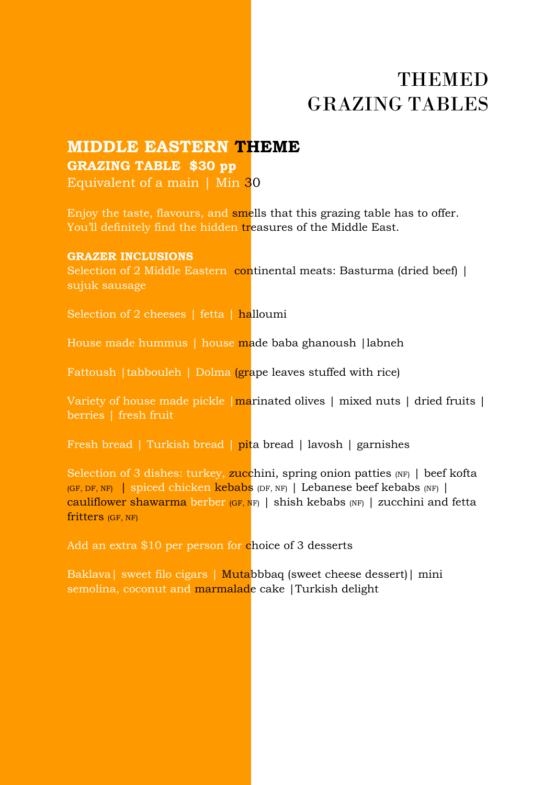### **MIDDLE EASTERN THEME GRAZING TABLE \$30 pp**

Equivalent of a main  $\vert$  Min 30

Enjoy the taste, flavours, and smells that this grazing table has to offer. You'll definitely find the hidden treasures of the Middle East.

#### **GRAZER INCLUSIONS**

Selection of 2 Middle Eastern continental meats: Basturma (dried beef) | sujuk sausage

Selection of 2 cheeses | fetta | halloumi

House made hummus | house made baba ghanoush |labneh

Fattoush |tabbouleh | Dolma (grape leaves stuffed with rice)

Variety of house made pickle | marinated olives | mixed nuts | dried fruits | berries | fresh fruit

Fresh bread | Turkish bread | pita bread | lavosh | garnishes

Selection of 3 dishes: turkey, zucchini, spring onion patties  $(NF)$  | beef kofta (GF, DF, NF) | spiced chicken kebabs (DF, NF) | Lebanese beef kebabs (NF) | cauliflower shawarma berber  $(GF, NF)$  | shish kebabs  $(NF)$  | zucchini and fetta fritters (GF, NF)

Add an extra \$10 per person for choice of 3 desserts

Baklava| sweet filo cigars | Mutabbbaq (sweet cheese dessert)| mini semolina, coconut and marmalade cake |Turkish delight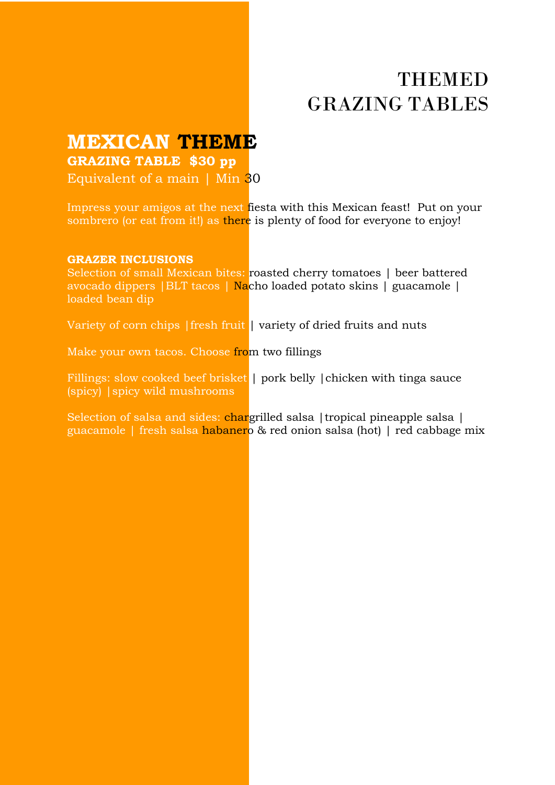**MEXICAN THEME**

**GRAZING TABLE \$30 pp**

Equivalent of a main  $\vert$  Min 30

Impress your amigos at the next fiesta with this Mexican feast! Put on your sombrero (or eat from it!) as there is plenty of food for everyone to enjoy!

#### **GRAZER INCLUSIONS**

Selection of small Mexican bites: roasted cherry tomatoes | beer battered avocado dippers |BLT tacos | Nacho loaded potato skins | guacamole | loaded bean dip

Variety of corn chips | fresh fruit | variety of dried fruits and nuts

Make your own tacos. Choose from two fillings

Fillings: slow cooked beef brisket | pork belly | chicken with tinga sauce (spicy) |spicy wild mushrooms

Selection of salsa and sides: chargrilled salsa | tropical pineapple salsa | guacamole | fresh salsa habanero & red onion salsa (hot) | red cabbage mix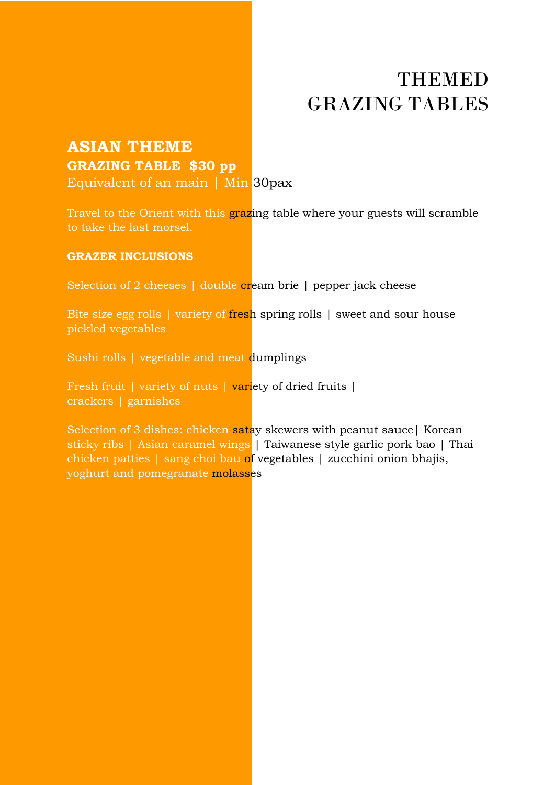### **ASIAN THEME GRAZING TABLE \$30 pp**

Equivalent of an main | Min 30pax

Travel to the Orient with this grazing table where your guests will scramble to take the last morsel.

#### **GRAZER INCLUSIONS**

Selection of 2 cheeses | double cream brie | pepper jack cheese

Bite size egg rolls | variety of fresh spring rolls | sweet and sour house pickled vegetables

Sushi rolls | vegetable and meat dumplings

Fresh fruit | variety of nuts | variety of dried fruits | crackers | garnishes

Selection of 3 dishes: chicken satay skewers with peanut sauce | Korean sticky ribs | Asian caramel wings | Taiwanese style garlic pork bao | Thai chicken patties | sang choi bau of vegetables | zucchini onion bhajis, yoghurt and pomegranate molasses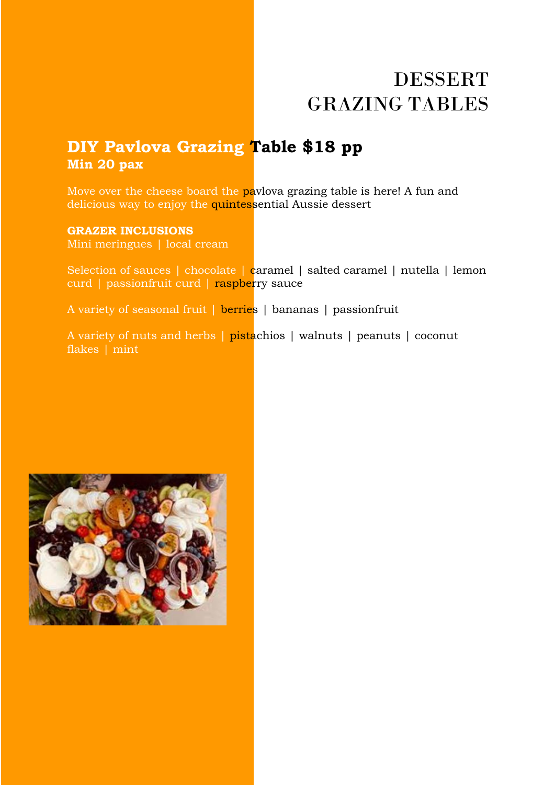# DESSERT GRAZING TABLES

### **DIY Pavlova Grazing Table \$18 pp Min 20 pax**

Move over the cheese board the paylova grazing table is here! A fun and delicious way to enjoy the quintessential Aussie dessert

#### **GRAZER INCLUSIONS**

Mini meringues | local cream

Selection of sauces | chocolate | caramel | salted caramel | nutella | lemon curd | passionfruit curd | raspberry sauce

A variety of seasonal fruit | berries | bananas | passionfruit

A variety of nuts and herbs | pistachios | walnuts | peanuts | coconut flakes | mint

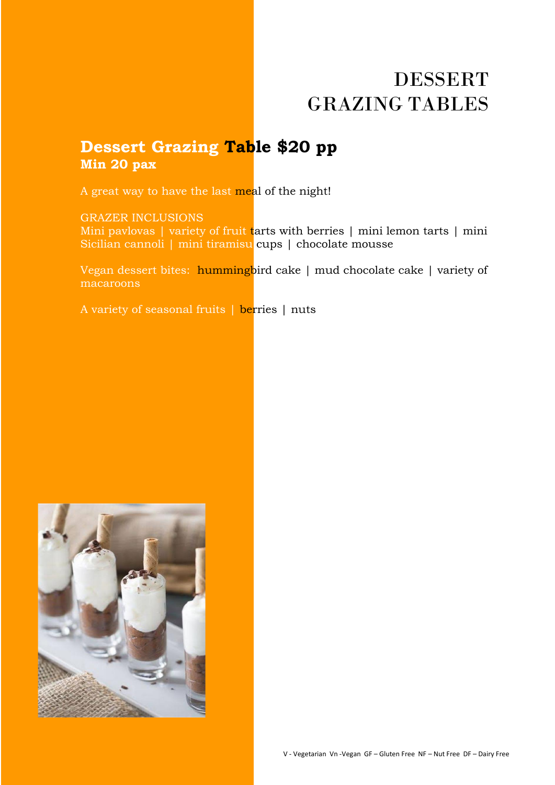# DESSERT GRAZING TABLES

### **Dessert Grazing Table \$20 pp Min 20 pax**

A great way to have the last meal of the night!

#### GRAZER INCLUSIONS

Mini pavlovas | variety of fruit tarts with berries | mini lemon tarts | mini Sicilian cannoli | mini tiramisu cups | chocolate mousse

Vegan dessert bites: hummingbird cake | mud chocolate cake | variety of macaroons

A variety of seasonal fruits | berries | nuts